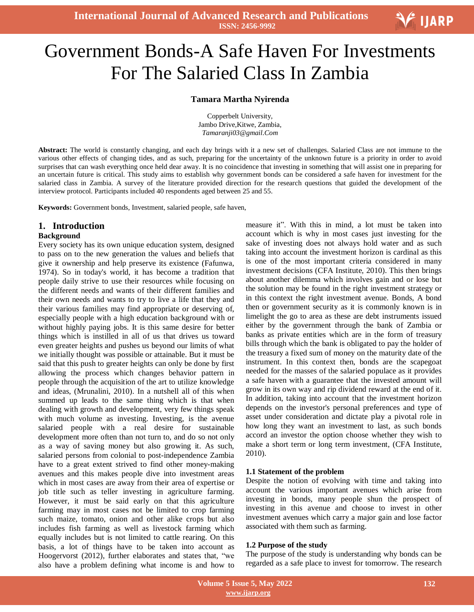

# Ξ Government Bonds-A Safe Haven For Investments For The Salaried Class In Zambia

#### **Tamara Martha Nyirenda**

Copperbelt University, Jambo Drive,Kitwe, Zambia, *Tamaranji03@gmail.Com*

**Abstract:** The world is constantly changing, and each day brings with it a new set of challenges. Salaried Class are not immune to the various other effects of changing tides, and as such, preparing for the uncertainty of the unknown future is a priority in order to avoid surprises that can wash everything once held dear away. It is no coincidence that investing in something that will assist one in preparing for an uncertain future is critical. This study aims to establish why government bonds can be considered a safe haven for investment for the salaried class in Zambia. A survey of the literature provided direction for the research questions that guided the development of the interview protocol. Participants included 40 respondents aged between 25 and 55.

**Keywords:** Government bonds, Investment, salaried people, safe haven,

#### **1. Introduction**

#### **Background**

Every society has its own unique education system, designed to pass on to the new generation the values and beliefs that give it ownership and help preserve its existence (Fafunwa, 1974). So in today's world, it has become a tradition that people daily strive to use their resources while focusing on the different needs and wants of their different families and their own needs and wants to try to live a life that they and their various families may find appropriate or deserving of, especially people with a high education background with or without highly paying jobs. It is this same desire for better things which is instilled in all of us that drives us toward even greater heights and pushes us beyond our limits of what we initially thought was possible or attainable. But it must be said that this push to greater heights can only be done by first allowing the process which changes behavior pattern in people through the acquisition of the art to utilize knowledge and ideas, (Mrunalini, 2010). In a nutshell all of this when summed up leads to the same thing which is that when dealing with growth and development, very few things speak with much volume as investing. Investing, is the avenue salaried people with a real desire for sustainable development more often than not turn to, and do so not only as a way of saving money but also growing it. As such, salaried persons from colonial to post-independence Zambia have to a great extent strived to find other money-making avenues and this makes people dive into investment areas which in most cases are away from their area of expertise or job title such as teller investing in agriculture farming. However, it must be said early on that this agriculture farming may in most cases not be limited to crop farming such maize, tomato, onion and other alike crops but also includes fish farming as well as livestock farming which equally includes but is not limited to cattle rearing. On this basis, a lot of things have to be taken into account as Hoogervorst (2012), further elaborates and states that, "we also have a problem defining what income is and how to measure it". With this in mind, a lot must be taken into account which is why in most cases just investing for the sake of investing does not always hold water and as such taking into account the investment horizon is cardinal as this is one of the most important criteria considered in many investment decisions (CFA Institute, 2010). This then brings about another dilemma which involves gain and or lose but the solution may be found in the right investment strategy or in this context the right investment avenue. Bonds, A bond then or government security as it is commonly known is in limelight the go to area as these are debt instruments issued either by the government through the bank of Zambia or banks as private entities which are in the form of treasury bills through which the bank is obligated to pay the holder of the treasury a fixed sum of money on the maturity date of the instrument. In this context then, bonds are the scapegoat needed for the masses of the salaried populace as it provides a safe haven with a guarantee that the invested amount will grow in its own way and rip dividend reward at the end of it. In addition, taking into account that the investment horizon depends on the investor's personal preferences and type of asset under consideration and dictate play a pivotal role in how long they want an investment to last, as such bonds accord an investor the option choose whether they wish to make a short term or long term investment, (CFA Institute, 2010).

#### **1.1 Statement of the problem**

Despite the notion of evolving with time and taking into account the various important avenues which arise from investing in bonds, many people shun the prospect of investing in this avenue and choose to invest in other investment avenues which carry a major gain and lose factor associated with them such as farming.

#### **1.2 Purpose of the study**

The purpose of the study is understanding why bonds can be regarded as a safe place to invest for tomorrow. The research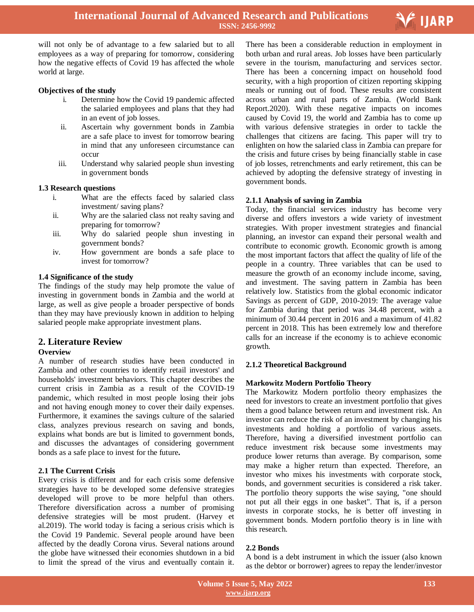

will not only be of advantage to a few salaried but to all employees as a way of preparing for tomorrow, considering how the negative effects of Covid 19 has affected the whole world at large.

## **Objectives of the study**

- i. Determine how the Covid 19 pandemic affected the salaried employees and plans that they had in an event of job losses.
- ii. Ascertain why government bonds in Zambia are a safe place to invest for tomorrow bearing in mind that any unforeseen circumstance can occur
- iii. Understand why salaried people shun investing in government bonds

# **1.3 Research questions**

- i. What are the effects faced by salaried class investment/ saving plans?
- ii. Why are the salaried class not realty saving and preparing for tomorrow?
- iii. Why do salaried people shun investing in government bonds?
- iv. How government are bonds a safe place to invest for tomorrow?

# **1.4 Significance of the study**

The findings of the study may help promote the value of investing in government bonds in Zambia and the world at large, as well as give people a broader perspective of bonds than they may have previously known in addition to helping salaried people make appropriate investment plans.

# **2. Literature Review**

## **Overview**

A number of research studies have been conducted in Zambia and other countries to identify retail investors' and households' investment behaviors. This chapter describes the current crisis in Zambia as a result of the COVID-19 pandemic, which resulted in most people losing their jobs and not having enough money to cover their daily expenses. Furthermore, it examines the savings culture of the salaried class, analyzes previous research on saving and bonds, explains what bonds are but is limited to government bonds, and discusses the advantages of considering government bonds as a safe place to invest for the future**.**

# **2.1 The Current Crisis**

Every crisis is different and for each crisis some defensive strategies have to be developed some defensive strategies developed will prove to be more helpful than others. Therefore diversification across a number of promising defensive strategies will be most prudent. (Harvey et al.2019). The world today is facing a serious crisis which is the Covid 19 Pandemic. Several people around have been affected by the deadly Corona virus. Several nations around the globe have witnessed their economies shutdown in a bid to limit the spread of the virus and eventually contain it.

 There has been a considerable reduction in employment in both urban and rural areas. Job losses have been particularly severe in the tourism, manufacturing and services sector. There has been a concerning impact on household food security, with a high proportion of citizen reporting skipping meals or running out of food. These results are consistent across urban and rural parts of Zambia. (World Bank Report.2020). With these negative impacts on incomes caused by Covid 19, the world and Zambia has to come up with various defensive strategies in order to tackle the challenges that citizens are facing. This paper will try to enlighten on how the salaried class in Zambia can prepare for the crisis and future crises by being financially stable in case of job losses, retrenchments and early retirement, this can be achieved by adopting the defensive strategy of investing in government bonds.

# **2.1.1 Analysis of saving in Zambia**

Today, the financial services industry has become very diverse and offers investors a wide variety of investment strategies. With proper investment strategies and financial planning, an investor can expand their personal wealth and contribute to economic growth. Economic growth is among the most important factors that affect the quality of life of the people in a country. Three variables that can be used to measure the growth of an economy include income, saving, and investment. The saving pattern in Zambia has been relatively low. Statistics from the global economic indicator Savings as percent of GDP, 2010-2019: The average value for Zambia during that period was 34.48 percent, with a minimum of 30.44 percent in 2016 and a maximum of 41.82 percent in 2018. This has been extremely low and therefore calls for an increase if the economy is to achieve economic growth.

# **2.1.2 Theoretical Background**

# **Markowitz Modern Portfolio Theory**

The Markowitz Modern portfolio theory emphasizes the need for investors to create an investment portfolio that gives them a good balance between return and investment risk. An investor can reduce the risk of an investment by changing his investments and holding a portfolio of various assets. Therefore, having a diversified investment portfolio can reduce investment risk because some investments may produce lower returns than average. By comparison, some may make a higher return than expected. Therefore, an investor who mixes his investments with corporate stock, bonds, and government securities is considered a risk taker. The portfolio theory supports the wise saying, "one should not put all their eggs in one basket". That is, if a person invests in corporate stocks, he is better off investing in government bonds. Modern portfolio theory is in line with this research.

# **2.2 Bonds**

A bond is a debt instrument in which the issuer (also known as the debtor or borrower) agrees to repay the lender/investor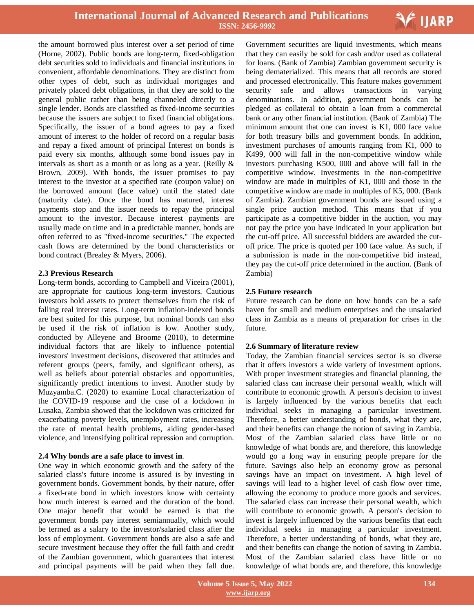

the amount borrowed plus interest over a set period of time (Horne, 2002). Public bonds are long-term, fixed-obligation debt securities sold to individuals and financial institutions in convenient, affordable denominations. They are distinct from other types of debt, such as individual mortgages and privately placed debt obligations, in that they are sold to the general public rather than being channeled directly to a single lender. Bonds are classified as fixed-income securities because the issuers are subject to fixed financial obligations. Specifically, the issuer of a bond agrees to pay a fixed amount of interest to the holder of record on a regular basis and repay a fixed amount of principal Interest on bonds is paid every six months, although some bond issues pay in intervals as short as a month or as long as a year. (Reilly & Brown, 2009). With bonds, the issuer promises to pay interest to the investor at a specified rate (coupon value) on the borrowed amount (face value) until the stated date (maturity date). Once the bond has matured, interest payments stop and the issuer needs to repay the principal amount to the investor. Because interest payments are usually made on time and in a predictable manner, bonds are often referred to as "fixed-income securities." The expected cash flows are determined by the bond characteristics or bond contract (Brealey & Myers, 2006).

## **2.3 Previous Research**

Long-term bonds, according to Campbell and Viceira (2001), are appropriate for cautious long-term investors. Cautious investors hold assets to protect themselves from the risk of falling real interest rates. Long-term inflation-indexed bonds are best suited for this purpose, but nominal bonds can also be used if the risk of inflation is low. Another study, conducted by Alleyene and Broome (2010), to determine individual factors that are likely to influence potential investors' investment decisions, discovered that attitudes and referent groups (peers, family, and significant others), as well as beliefs about potential obstacles and opportunities, significantly predict intentions to invest. Another study by Muzyamba.C. (2020) to examine Local characterization of the COVID-19 response and the case of a lockdown in Lusaka, Zambia showed that the lockdown was criticized for exacerbating poverty levels, unemployment rates, increasing the rate of mental health problems, aiding gender-based violence, and intensifying political repression and corruption.

#### **2.4 Why bonds are a safe place to invest in**.

One way in which economic growth and the safety of the salaried class's future income is assured is by investing in government bonds. Government bonds, by their nature, offer a fixed-rate bond in which investors know with certainty how much interest is earned and the duration of the bond. One major benefit that would be earned is that the government bonds pay interest semiannually, which would be termed as a salary to the investor/salaried class after the loss of employment. Government bonds are also a safe and secure investment because they offer the full faith and credit of the Zambian government, which guarantees that interest and principal payments will be paid when they fall due.

 Government securities are liquid investments, which means that they can easily be sold for cash and/or used as collateral for loans. (Bank of Zambia) Zambian government security is being dematerialized. This means that all records are stored and processed electronically. This feature makes government security safe and allows transactions in varying denominations. In addition, government bonds can be pledged as collateral to obtain a loan from a commercial bank or any other financial institution. (Bank of Zambia) The minimum amount that one can invest is K1, 000 face value for both treasury bills and government bonds. In addition, investment purchases of amounts ranging from K1, 000 to K499, 000 will fall in the non-competitive window while investors purchasing K500, 000 and above will fall in the competitive window. Investments in the non-competitive window are made in multiples of K1, 000 and those in the competitive window are made in multiples of K5, 000. (Bank of Zambia). Zambian government bonds are issued using a single price auction method. This means that if you participate as a competitive bidder in the auction, you may not pay the price you have indicated in your application but the cut-off price. All successful bidders are awarded the cutoff price. The price is quoted per 100 face value. As such, if a submission is made in the non-competitive bid instead, they pay the cut-off price determined in the auction. (Bank of Zambia)

## **2.5 Future research**

Future research can be done on how bonds can be a safe haven for small and medium enterprises and the unsalaried class in Zambia as a means of preparation for crises in the future.

## **2.6 Summary of literature review**

Today, the Zambian financial services sector is so diverse that it offers investors a wide variety of investment options. With proper investment strategies and financial planning, the salaried class can increase their personal wealth, which will contribute to economic growth. A person's decision to invest is largely influenced by the various benefits that each individual seeks in managing a particular investment. Therefore, a better understanding of bonds, what they are, and their benefits can change the notion of saving in Zambia. Most of the Zambian salaried class have little or no knowledge of what bonds are, and therefore, this knowledge would go a long way in ensuring people prepare for the future. Savings also help an economy grow as personal savings have an impact on investment. A high level of savings will lead to a higher level of cash flow over time, allowing the economy to produce more goods and services. The salaried class can increase their personal wealth, which will contribute to economic growth. A person's decision to invest is largely influenced by the various benefits that each individual seeks in managing a particular investment. Therefore, a better understanding of bonds, what they are, and their benefits can change the notion of saving in Zambia. Most of the Zambian salaried class have little or no knowledge of what bonds are, and therefore, this knowledge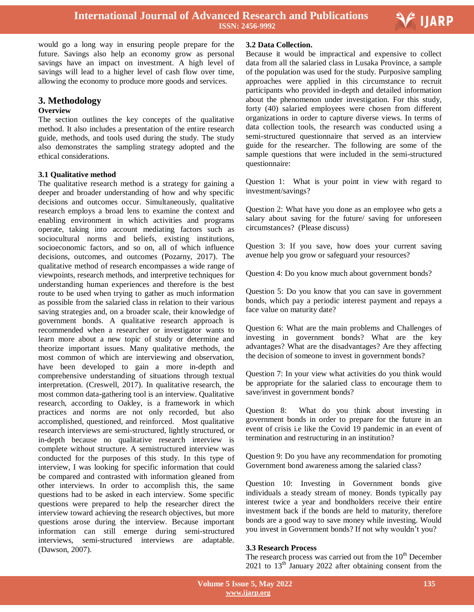

Ξ

would go a long way in ensuring people prepare for the future. Savings also help an economy grow as personal savings have an impact on investment. A high level of savings will lead to a higher level of cash flow over time, allowing the economy to produce more goods and services.

# **3. Methodology**

#### **Overview**

The section outlines the key concepts of the qualitative method. It also includes a presentation of the entire research guide, methods, and tools used during the study. The study also demonstrates the sampling strategy adopted and the ethical considerations.

## **3.1 Qualitative method**

The qualitative research method is a strategy for gaining a deeper and broader understanding of how and why specific decisions and outcomes occur. Simultaneously, qualitative research employs a broad lens to examine the context and enabling environment in which activities and programs operate, taking into account mediating factors such as sociocultural norms and beliefs, existing institutions, socioeconomic factors, and so on, all of which influence decisions, outcomes, and outcomes (Pozarny, 2017). The qualitative method of research encompasses a wide range of viewpoints, research methods, and interpretive techniques for understanding human experiences and therefore is the best route to be used when trying to gather as much information as possible from the salaried class in relation to their various saving strategies and, on a broader scale, their knowledge of government bonds. A qualitative research approach is recommended when a researcher or investigator wants to learn more about a new topic of study or determine and theorize important issues. Many qualitative methods, the most common of which are interviewing and observation, have been developed to gain a more in-depth and comprehensive understanding of situations through textual interpretation. (Creswell, 2017). In qualitative research, the most common data-gathering tool is an interview. Qualitative research, according to Oakley, is a framework in which practices and norms are not only recorded, but also accomplished, questioned, and reinforced. Most qualitative research interviews are semi-structured, lightly structured, or in-depth because no qualitative research interview is complete without structure. A semistructured interview was conducted for the purposes of this study. In this type of interview, I was looking for specific information that could be compared and contrasted with information gleaned from other interviews. In order to accomplish this, the same questions had to be asked in each interview. Some specific questions were prepared to help the researcher direct the interview toward achieving the research objectives, but more questions arose during the interview. Because important information can still emerge during semi-structured interviews, semi-structured interviews are adaptable. (Dawson, 2007).

#### **3.2 Data Collection.**

Because it would be impractical and expensive to collect data from all the salaried class in Lusaka Province, a sample of the population was used for the study. Purposive sampling approaches were applied in this circumstance to recruit participants who provided in-depth and detailed information about the phenomenon under investigation. For this study, forty (40) salaried employees were chosen from different organizations in order to capture diverse views. In terms of data collection tools, the research was conducted using a semi-structured questionnaire that served as an interview guide for the researcher. The following are some of the sample questions that were included in the semi-structured questionnaire:

Question 1: What is your point in view with regard to investment/savings?

Question 2: What have you done as an employee who gets a salary about saving for the future/ saving for unforeseen circumstances? (Please discuss)

Question 3: If you save, how does your current saving avenue help you grow or safeguard your resources?

Question 4: Do you know much about government bonds?

Question 5: Do you know that you can save in government bonds, which pay a periodic interest payment and repays a face value on maturity date?

Question 6: What are the main problems and Challenges of investing in government bonds? What are the key advantages? What are the disadvantages? Are they affecting the decision of someone to invest in government bonds?

Question 7: In your view what activities do you think would be appropriate for the salaried class to encourage them to save/invest in government bonds?

Question 8: What do you think about investing in government bonds in order to prepare for the future in an event of crisis i.e like the Covid 19 pandemic in an event of termination and restructuring in an institution?

Question 9: Do you have any recommendation for promoting Government bond awareness among the salaried class?

Question 10: Investing in Government bonds give individuals a steady stream of money. Bonds typically pay interest twice a year and bondholders receive their entire investment back if the bonds are held to maturity, therefore bonds are a good way to save money while investing. Would you invest in Government bonds? If not why wouldn't you?

## **3.3 Research Process**

The research process was carried out from the  $10<sup>th</sup>$  December  $2021$  to  $13<sup>th</sup>$  January 2022 after obtaining consent from the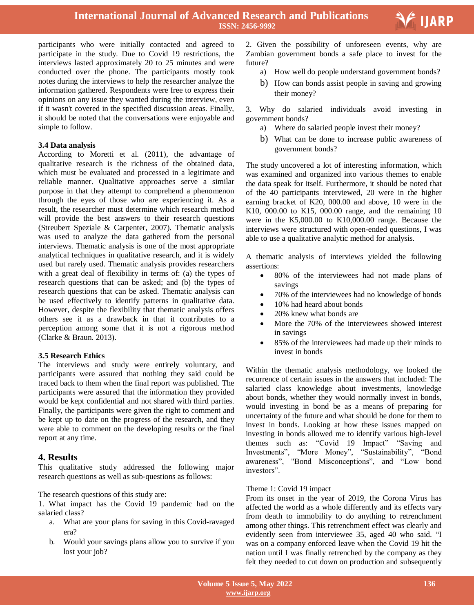participants who were initially contacted and agreed to participate in the study. Due to Covid 19 restrictions, the interviews lasted approximately 20 to 25 minutes and were conducted over the phone. The participants mostly took notes during the interviews to help the researcher analyze the information gathered. Respondents were free to express their opinions on any issue they wanted during the interview, even if it wasn't covered in the specified discussion areas. Finally, it should be noted that the conversations were enjoyable and simple to follow.

#### **3.4 Data analysis**

According to Moretti et al. (2011), the advantage of qualitative research is the richness of the obtained data, which must be evaluated and processed in a legitimate and reliable manner. Qualitative approaches serve a similar purpose in that they attempt to comprehend a phenomenon through the eyes of those who are experiencing it. As a result, the researcher must determine which research method will provide the best answers to their research questions (Streubert Speziale & Carpenter, 2007). Thematic analysis was used to analyze the data gathered from the personal interviews. Thematic analysis is one of the most appropriate analytical techniques in qualitative research, and it is widely used but rarely used. Thematic analysis provides researchers with a great deal of flexibility in terms of: (a) the types of research questions that can be asked; and (b) the types of research questions that can be asked. Thematic analysis can be used effectively to identify patterns in qualitative data. However, despite the flexibility that thematic analysis offers others see it as a drawback in that it contributes to a perception among some that it is not a rigorous method (Clarke & Braun. 2013).

## **3.5 Research Ethics**

The interviews and study were entirely voluntary, and participants were assured that nothing they said could be traced back to them when the final report was published. The participants were assured that the information they provided would be kept confidential and not shared with third parties. Finally, the participants were given the right to comment and be kept up to date on the progress of the research, and they were able to comment on the developing results or the final report at any time.

## **4. Results**

This qualitative study addressed the following major research questions as well as sub-questions as follows:

The research questions of this study are:

1. What impact has the Covid 19 pandemic had on the salaried class?

- a. What are your plans for saving in this Covid-ravaged era?
- b. Would your savings plans allow you to survive if you lost your job?

 2. Given the possibility of unforeseen events, why are Zambian government bonds a safe place to invest for the future?

- a) How well do people understand government bonds?
- b) How can bonds assist people in saving and growing their money?

3. Why do salaried individuals avoid investing in government bonds?

- a) Where do salaried people invest their money?
- b) What can be done to increase public awareness of government bonds?

The study uncovered a lot of interesting information, which was examined and organized into various themes to enable the data speak for itself. Furthermore, it should be noted that of the 40 participants interviewed, 20 were in the higher earning bracket of K20, 000.00 and above, 10 were in the K10, 000.00 to K15, 000.00 range, and the remaining 10 were in the K5,000.00 to K10,000.00 range. Because the interviews were structured with open-ended questions, I was able to use a qualitative analytic method for analysis.

A thematic analysis of interviews yielded the following assertions:

- 80% of the interviewees had not made plans of savings
- 70% of the interviewees had no knowledge of bonds
- 10% had heard about bonds
- 20% knew what bonds are
- More the 70% of the interviewees showed interest in savings
- 85% of the interviewees had made up their minds to invest in bonds

Within the thematic analysis methodology, we looked the recurrence of certain issues in the answers that included: The salaried class knowledge about investments, knowledge about bonds, whether they would normally invest in bonds, would investing in bond be as a means of preparing for uncertainty of the future and what should be done for them to invest in bonds. Looking at how these issues mapped on investing in bonds allowed me to identify various high-level themes such as: "Covid 19 Impact" "Saving and Investments", "More Money", "Sustainability", "Bond awareness", "Bond Misconceptions", and "Low bond investors".

## Theme 1: Covid 19 impact

From its onset in the year of 2019, the Corona Virus has affected the world as a whole differently and its effects vary from death to immobility to do anything to retrenchment among other things. This retrenchment effect was clearly and evidently seen from interviewee 35, aged 40 who said. "I was on a company enforced leave when the Covid 19 hit the nation until I was finally retrenched by the company as they felt they needed to cut down on production and subsequently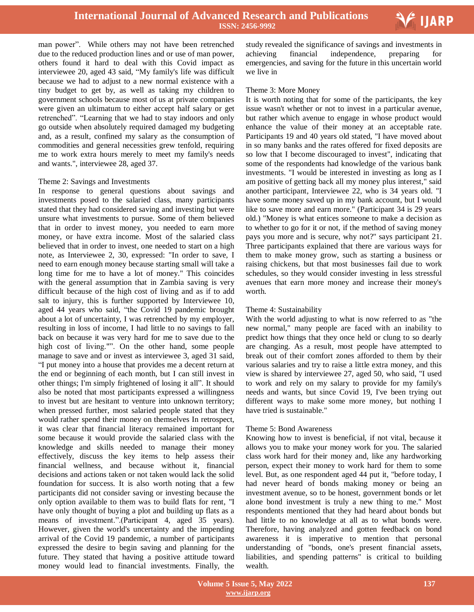

man power". While others may not have been retrenched due to the reduced production lines and or use of man power, others found it hard to deal with this Covid impact as interviewee 20, aged 43 said, "My family's life was difficult because we had to adjust to a new normal existence with a tiny budget to get by, as well as taking my children to government schools because most of us at private companies were given an ultimatum to either accept half salary or get retrenched". "Learning that we had to stay indoors and only go outside when absolutely required damaged my budgeting and, as a result, confined my salary as the consumption of commodities and general necessities grew tenfold, requiring me to work extra hours merely to meet my family's needs and wants.", interviewee 28, aged 37.

#### Theme 2: Savings and Investments

In response to general questions about savings and investments posed to the salaried class, many participants stated that they had considered saving and investing but were unsure what investments to pursue. Some of them believed that in order to invest money, you needed to earn more money, or have extra income. Most of the salaried class believed that in order to invest, one needed to start on a high note, as Interviewee 2, 30, expressed: "In order to save, I need to earn enough money because starting small will take a long time for me to have a lot of money." This coincides with the general assumption that in Zambia saving is very difficult because of the high cost of living and as if to add salt to injury, this is further supported by Interviewee 10, aged 44 years who said, "the Covid 19 pandemic brought about a lot of uncertainty, I was retrenched by my employer, resulting in loss of income, I had little to no savings to fall back on because it was very hard for me to save due to the high cost of living."". On the other hand, some people manage to save and or invest as interviewee 3, aged 31 said, "I put money into a house that provides me a decent return at the end or beginning of each month, but I can still invest in other things; I'm simply frightened of losing it all". It should also be noted that most participants expressed a willingness to invest but are hesitant to venture into unknown territory; when pressed further, most salaried people stated that they would rather spend their money on themselves In retrospect, it was clear that financial literacy remained important for some because it would provide the salaried class with the knowledge and skills needed to manage their money effectively, discuss the key items to help assess their financial wellness, and because without it, financial decisions and actions taken or not taken would lack the solid foundation for success. It is also worth noting that a few participants did not consider saving or investing because the only option available to them was to build flats for rent, "I have only thought of buying a plot and building up flats as a means of investment.".(Participant 4, aged 35 years). However, given the world's uncertainty and the impending arrival of the Covid 19 pandemic, a number of participants expressed the desire to begin saving and planning for the future. They stated that having a positive attitude toward money would lead to financial investments. Finally, the

 study revealed the significance of savings and investments in achieving financial independence, preparing for emergencies, and saving for the future in this uncertain world we live in

#### Theme 3: More Money

It is worth noting that for some of the participants, the key issue wasn't whether or not to invest in a particular avenue, but rather which avenue to engage in whose product would enhance the value of their money at an acceptable rate. Participants 19 and 40 years old stated, "I have moved about in so many banks and the rates offered for fixed deposits are so low that I become discouraged to invest", indicating that some of the respondents had knowledge of the various bank investments. "I would be interested in investing as long as I am positive of getting back all my money plus interest," said another participant, Interviewee 22, who is 34 years old. "I have some money saved up in my bank account, but I would like to save more and earn more." (Participant 34 is 29 years old.) "Money is what entices someone to make a decision as to whether to go for it or not, if the method of saving money pays you more and is secure, why not?" says participant 21. Three participants explained that there are various ways for them to make money grow, such as starting a business or raising chickens, but that most businesses fail due to work schedules, so they would consider investing in less stressful avenues that earn more money and increase their money's worth.

#### Theme 4: Sustainability

With the world adjusting to what is now referred to as "the new normal," many people are faced with an inability to predict how things that they once held or clung to so dearly are changing. As a result, most people have attempted to break out of their comfort zones afforded to them by their various salaries and try to raise a little extra money, and this view is shared by interviewee 27, aged 50, who said, "I used to work and rely on my salary to provide for my family's needs and wants, but since Covid 19, I've been trying out different ways to make some more money, but nothing I have tried is sustainable."

#### Theme 5: Bond Awareness

Knowing how to invest is beneficial, if not vital, because it allows you to make your money work for you. The salaried class work hard for their money and, like any hardworking person, expect their money to work hard for them to some level. But, as one respondent aged 44 put it, "before today, I had never heard of bonds making money or being an investment avenue, so to be honest, government bonds or let alone bond investment is truly a new thing to me." Most respondents mentioned that they had heard about bonds but had little to no knowledge at all as to what bonds were. Therefore, having analyzed and gotten feedback on bond awareness it is imperative to mention that personal understanding of "bonds, one's present financial assets, liabilities, and spending patterns" is critical to building wealth.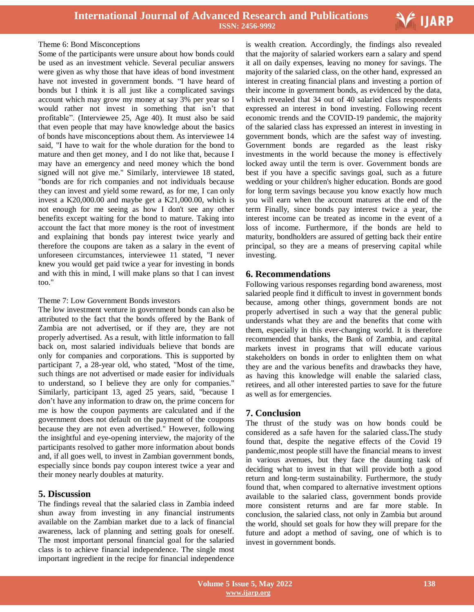

#### Theme 6: Bond Misconceptions

Some of the participants were unsure about how bonds could be used as an investment vehicle. Several peculiar answers were given as why those that have ideas of bond investment have not invested in government bonds. "I have heard of bonds but I think it is all just like a complicated savings account which may grow my money at say 3% per year so I would rather not invest in something that isn't that profitable". (Interviewee 25, Age 40). It must also be said that even people that may have knowledge about the basics of bonds have misconceptions about them. As interviewee 14 said, "I have to wait for the whole duration for the bond to mature and then get money, and I do not like that, because I may have an emergency and need money which the bond signed will not give me." Similarly, interviewee 18 stated, "bonds are for rich companies and not individuals because they can invest and yield some reward, as for me, I can only invest a K20,000.00 and maybe get a K21,000.00, which is not enough for me seeing as how I don't see any other benefits except waiting for the bond to mature. Taking into account the fact that more money is the root of investment and explaining that bonds pay interest twice yearly and therefore the coupons are taken as a salary in the event of unforeseen circumstances, interviewee 11 stated, "I never knew you would get paid twice a year for investing in bonds and with this in mind, I will make plans so that I can invest too."

#### Theme 7: Low Government Bonds investors

The low investment venture in government bonds can also be attributed to the fact that the bonds offered by the Bank of Zambia are not advertised, or if they are, they are not properly advertised. As a result, with little information to fall back on, most salaried individuals believe that bonds are only for companies and corporations. This is supported by participant 7, a 28-year old, who stated, "Most of the time, such things are not advertised or made easier for individuals to understand, so I believe they are only for companies." Similarly, participant 13, aged 25 years, said, "because I don't have any information to draw on, the prime concern for me is how the coupon payments are calculated and if the government does not default on the payment of the coupons because they are not even advertised." However, following the insightful and eye-opening interview, the majority of the participants resolved to gather more information about bonds and, if all goes well, to invest in Zambian government bonds, especially since bonds pay coupon interest twice a year and their money nearly doubles at maturity.

# **5. Discussion**

The findings reveal that the salaried class in Zambia indeed shun away from investing in any financial instruments available on the Zambian market due to a lack of financial awareness, lack of planning and setting goals for oneself. The most important personal financial goal for the salaried class is to achieve financial independence. The single most important ingredient in the recipe for financial independence

 is wealth creation. Accordingly, the findings also revealed that the majority of salaried workers earn a salary and spend it all on daily expenses, leaving no money for savings. The majority of the salaried class, on the other hand, expressed an interest in creating financial plans and investing a portion of their income in government bonds, as evidenced by the data, which revealed that 34 out of 40 salaried class respondents expressed an interest in bond investing. Following recent economic trends and the COVID-19 pandemic, the majority of the salaried class has expressed an interest in investing in government bonds, which are the safest way of investing. Government bonds are regarded as the least risky investments in the world because the money is effectively locked away until the term is over. Government bonds are best if you have a specific savings goal, such as a future wedding or your children's higher education. Bonds are good for long term savings because you know exactly how much you will earn when the account matures at the end of the term Finally, since bonds pay interest twice a year, the interest income can be treated as income in the event of a loss of income. Furthermore, if the bonds are held to maturity, bondholders are assured of getting back their entire principal, so they are a means of preserving capital while investing.

#### **6. Recommendations**

Following various responses regarding bond awareness, most salaried people find it difficult to invest in government bonds because, among other things, government bonds are not properly advertised in such a way that the general public understands what they are and the benefits that come with them, especially in this ever-changing world. It is therefore recommended that banks, the Bank of Zambia, and capital markets invest in programs that will educate various stakeholders on bonds in order to enlighten them on what they are and the various benefits and drawbacks they have, as having this knowledge will enable the salaried class, retirees, and all other interested parties to save for the future as well as for emergencies.

## **7. Conclusion**

The thrust of the study was on how bonds could be considered as a safe haven for the salaried class**.**The study found that, despite the negative effects of the Covid 19 pandemic,most people still have the financial means to invest in various avenues, but they face the daunting task of deciding what to invest in that will provide both a good return and long-term sustainability. Furthermore, the study found that, when compared to alternative investment options available to the salaried class, government bonds provide more consistent returns and are far more stable. In conclusion, the salaried class, not only in Zambia but around the world, should set goals for how they will prepare for the future and adopt a method of saving, one of which is to invest in government bonds.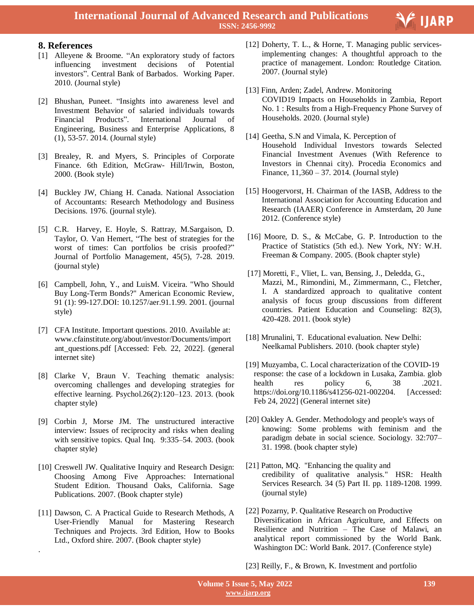

# **8. References**

- [1] Alleyene & Broome. "An exploratory study of factors influencing investment decisions of Potential investors". Central Bank of Barbados. Working Paper. 2010. (Journal style)
- [2] Bhushan, Puneet. "Insights into awareness level and Investment Behavior of salaried individuals towards Financial Products". International Journal of Engineering, Business and Enterprise Applications, 8 (1), 53-57. 2014. (Journal style)
- [3] Brealey, R. and Myers, S. Principles of Corporate Finance. 6th Edition, McGraw- Hill/Irwin, Boston, 2000. (Book style)
- [4] Buckley JW, Chiang H. Canada. National Association of Accountants: Research Methodology and Business Decisions. 1976. (journal style).
- [5] C.R. Harvey, E. Hoyle, S. Rattray, M.Sargaison, D. Taylor, O. Van Hemert, "The best of strategies for the worst of times: Can portfolios be crisis proofed?" Journal of Portfolio Management, 45(5), 7-28. 2019. (journal style)
- [6] Campbell, John, Y., and LuisM. Viceira. "Who Should Buy Long-Term Bonds?" American Economic Review, 91 (1): 99-127.DOI: 10.1257/aer.91.1.99. 2001. (journal style)
- [7] CFA Institute. Important questions. 2010. Available at: [www.cfainstitute.org/about/investor/Documents/import](http://www.cfainstitute.org/about/investor/Documents/important_questions.pdf) ant questions.pdf [Accessed: Feb. 22, 2022]. (general internet site)
- [8] Clarke V, Braun V. Teaching thematic analysis: overcoming challenges and developing strategies for effective learning. Psychol.26(2):120–123. 2013. (book chapter style)
- [9] Corbin J, Morse JM. The unstructured interactive interview: Issues of reciprocity and risks when dealing with sensitive topics. Qual Inq. 9:335–54. 2003. (book chapter style)
- [10] Creswell JW. Qualitative Inquiry and Research Design: Choosing Among Five Approaches: International Student Edition. Thousand Oaks, California. Sage Publications. 2007. (Book chapter style)
- [11] Dawson, C. A Practical Guide to Research Methods, A User-Friendly Manual for Mastering Research Techniques and Projects. 3rd Edition, How to Books Ltd., Oxford shire. 2007. (Book chapter style)

.

- [12] Doherty, T. L., & Horne, T. Managing public servicesimplementing changes: A thoughtful approach to the practice of management. London: Routledge Citation. 2007. (Journal style)
- [13] Finn, Arden; Zadel, Andrew. Monitoring COVID19 Impacts on Households in Zambia, Report No. 1 : Results from a High-Frequency Phone Survey of Households. 2020. (Journal style)
- [14] Geetha, S.N and Vimala, K. Perception of Household Individual Investors towards Selected Financial Investment Avenues (With Reference to Investors in Chennai city). Procedia Economics and Finance, 11,360 – 37. 2014. (Journal style)
- [15] Hoogervorst, H. Chairman of the IASB, Address to the International Association for Accounting Education and Research (IAAER) Conference in Amsterdam, 20 June 2012. (Conference style)
- [16] Moore, D. S., & McCabe, G. P. Introduction to the Practice of Statistics (5th ed.). New York, NY: W.H. Freeman & Company. 2005. (Book chapter style)
- [17] Moretti, F., Vliet, L. van, Bensing, J., Deledda, G., Mazzi, M., Rimondini, M., Zimmermann, C., Fletcher, I. A standardized approach to qualitative content analysis of focus group discussions from different countries. Patient Education and Counseling: 82(3), 420-428. 2011. (book style)
- [18] Mrunalini, T. Educational evaluation. New Delhi: Neelkamal Publishers. 2010. (book chapter style)
- [19] Muzyamba, C. Local characterization of the COVID-19 response: the case of a lockdown in Lusaka, Zambia. glob health res policy 6, 38 .2021. [https://doi.org/10.1186/s41256-021-002204.](https://doi.org/10.1186/s41256-021-002204) [Accessed: Feb 24, 2022] (General internet site)
- [20] Oakley A. Gender. Methodology and people's ways of knowing: Some problems with feminism and the paradigm debate in social science. Sociology. 32:707– 31. 1998. (book chapter style)
- [21] Patton, MQ. "Enhancing the quality and credibility of qualitative analysis." HSR: Health Services Research. 34 (5) Part II. pp. 1189-1208. 1999. (journal style)
- [22] Pozarny, P. Qualitative Research on Productive Diversification in African Agriculture, and Effects on Resilience and Nutrition – The Case of Malawi, an analytical report commissioned by the World Bank. Washington DC: World Bank. 2017. (Conference style)

[23] Reilly, F., & Brown, K. Investment and portfolio